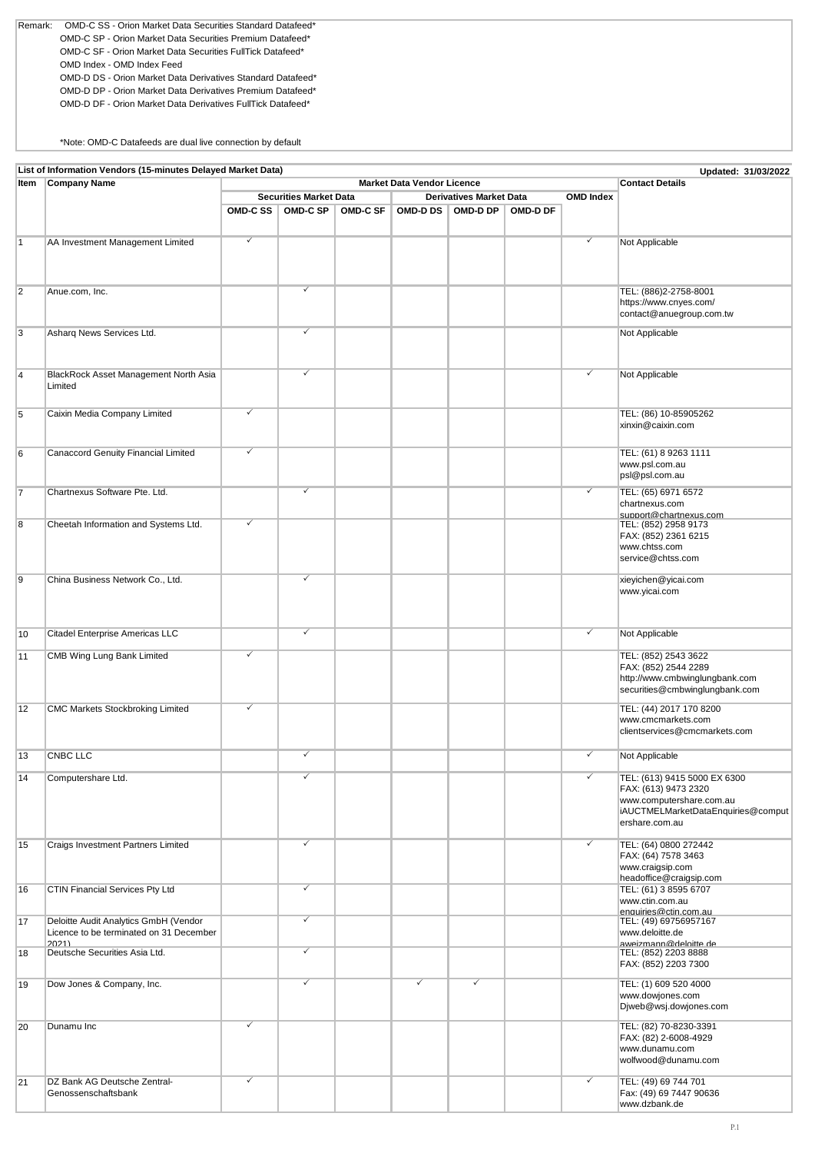OMD-D DP - Orion Market Data Derivatives Premium Datafeed\* OMD-D DF - Orion Market Data Derivatives FullTick Datafeed\* Remark: OMD-C SS - Orion Market Data Securities Standard Datafeed\* OMD-C SP - Orion Market Data Securities Premium Datafeed\* OMD-C SF - Orion Market Data Securities FullTick Datafeed\* OMD Index - OMD Index Feed OMD-D DS - Orion Market Data Derivatives Standard Datafeed\*

\*Note: OMD-C Datafeeds are dual live connection by default

|    | List of Information Vendors (15-minutes Delayed Market Data)<br>Updated: 31/03/2022        |              |                               |                  |   |                                                     |          |              |                                                                  |  |  |  |
|----|--------------------------------------------------------------------------------------------|--------------|-------------------------------|------------------|---|-----------------------------------------------------|----------|--------------|------------------------------------------------------------------|--|--|--|
|    | <b>Company Name</b><br><b>Contact Details</b><br><b>Market Data Vendor Licence</b><br>Item |              |                               |                  |   |                                                     |          |              |                                                                  |  |  |  |
|    |                                                                                            |              | <b>Securities Market Data</b> | <b>OMD Index</b> |   |                                                     |          |              |                                                                  |  |  |  |
|    |                                                                                            |              | OMD-C SS   OMD-C SP           | <b>OMD-C SF</b>  |   | <b>Derivatives Market Data</b><br>OMD-D DS OMD-D DP | OMD-D DF |              |                                                                  |  |  |  |
|    |                                                                                            |              |                               |                  |   |                                                     |          |              |                                                                  |  |  |  |
|    |                                                                                            |              |                               |                  |   |                                                     |          |              |                                                                  |  |  |  |
| 1  | AA Investment Management Limited                                                           | $\checkmark$ |                               |                  |   |                                                     |          | ✓            | Not Applicable                                                   |  |  |  |
|    |                                                                                            |              |                               |                  |   |                                                     |          |              |                                                                  |  |  |  |
|    |                                                                                            |              |                               |                  |   |                                                     |          |              |                                                                  |  |  |  |
|    |                                                                                            |              |                               |                  |   |                                                     |          |              |                                                                  |  |  |  |
| 2  | Anue.com, Inc.                                                                             |              | ✓                             |                  |   |                                                     |          |              | TEL: (886)2-2758-8001                                            |  |  |  |
|    |                                                                                            |              |                               |                  |   |                                                     |          |              | https://www.cnyes.com/<br>contact@anuegroup.com.tw               |  |  |  |
|    |                                                                                            |              |                               |                  |   |                                                     |          |              |                                                                  |  |  |  |
| 3  | Asharg News Services Ltd.                                                                  |              | ✓                             |                  |   |                                                     |          |              | Not Applicable                                                   |  |  |  |
|    |                                                                                            |              |                               |                  |   |                                                     |          |              |                                                                  |  |  |  |
|    |                                                                                            |              |                               |                  |   |                                                     |          |              |                                                                  |  |  |  |
| 4  | BlackRock Asset Management North Asia                                                      |              | ✓                             |                  |   |                                                     |          | ✓            | Not Applicable                                                   |  |  |  |
|    | Limited                                                                                    |              |                               |                  |   |                                                     |          |              |                                                                  |  |  |  |
|    |                                                                                            |              |                               |                  |   |                                                     |          |              |                                                                  |  |  |  |
| 5  | Caixin Media Company Limited                                                               | $\checkmark$ |                               |                  |   |                                                     |          |              | TEL: (86) 10-85905262                                            |  |  |  |
|    |                                                                                            |              |                               |                  |   |                                                     |          |              | xinxin@caixin.com                                                |  |  |  |
|    |                                                                                            |              |                               |                  |   |                                                     |          |              |                                                                  |  |  |  |
|    |                                                                                            | $\checkmark$ |                               |                  |   |                                                     |          |              |                                                                  |  |  |  |
| 6  | Canaccord Genuity Financial Limited                                                        |              |                               |                  |   |                                                     |          |              | TEL: (61) 8 9263 1111<br>www.psl.com.au                          |  |  |  |
|    |                                                                                            |              |                               |                  |   |                                                     |          |              | psl@psl.com.au                                                   |  |  |  |
|    |                                                                                            |              |                               |                  |   |                                                     |          |              |                                                                  |  |  |  |
| 17 | Chartnexus Software Pte. Ltd.                                                              |              | ✓                             |                  |   |                                                     |          | $\checkmark$ | TEL: (65) 6971 6572                                              |  |  |  |
|    |                                                                                            |              |                               |                  |   |                                                     |          |              | chartnexus.com                                                   |  |  |  |
| 8  | Cheetah Information and Systems Ltd.                                                       | $\checkmark$ |                               |                  |   |                                                     |          |              | support@chartnexus.com<br>TEL: (852) 2958 9173                   |  |  |  |
|    |                                                                                            |              |                               |                  |   |                                                     |          |              | FAX: (852) 2361 6215                                             |  |  |  |
|    |                                                                                            |              |                               |                  |   |                                                     |          |              | www.chtss.com                                                    |  |  |  |
|    |                                                                                            |              |                               |                  |   |                                                     |          |              | service@chtss.com                                                |  |  |  |
|    |                                                                                            |              |                               |                  |   |                                                     |          |              |                                                                  |  |  |  |
| 19 | China Business Network Co., Ltd.                                                           |              | ✓                             |                  |   |                                                     |          |              | xieyichen@yicai.com                                              |  |  |  |
|    |                                                                                            |              |                               |                  |   |                                                     |          |              | www.yicai.com                                                    |  |  |  |
|    |                                                                                            |              |                               |                  |   |                                                     |          |              |                                                                  |  |  |  |
|    |                                                                                            |              |                               |                  |   |                                                     |          |              |                                                                  |  |  |  |
| 10 | Citadel Enterprise Americas LLC                                                            |              | $\overline{\checkmark}$       |                  |   |                                                     |          | $\checkmark$ | Not Applicable                                                   |  |  |  |
|    |                                                                                            |              |                               |                  |   |                                                     |          |              |                                                                  |  |  |  |
| 11 | CMB Wing Lung Bank Limited                                                                 | ✓            |                               |                  |   |                                                     |          |              | TEL: (852) 2543 3622                                             |  |  |  |
|    |                                                                                            |              |                               |                  |   |                                                     |          |              | FAX: (852) 2544 2289                                             |  |  |  |
|    |                                                                                            |              |                               |                  |   |                                                     |          |              | http://www.cmbwinglungbank.com<br>securities@cmbwinglungbank.com |  |  |  |
|    |                                                                                            |              |                               |                  |   |                                                     |          |              |                                                                  |  |  |  |
| 12 | <b>CMC Markets Stockbroking Limited</b>                                                    | $\checkmark$ |                               |                  |   |                                                     |          |              | TEL: (44) 2017 170 8200                                          |  |  |  |
|    |                                                                                            |              |                               |                  |   |                                                     |          |              | www.cmcmarkets.com                                               |  |  |  |
|    |                                                                                            |              |                               |                  |   |                                                     |          |              | clientservices@cmcmarkets.com                                    |  |  |  |
|    |                                                                                            |              |                               |                  |   |                                                     |          |              |                                                                  |  |  |  |
| 13 | <b>CNBC LLC</b>                                                                            |              | ✓                             |                  |   |                                                     |          | $\checkmark$ | Not Applicable                                                   |  |  |  |
| 14 |                                                                                            |              |                               |                  |   |                                                     |          |              | TEL: (613) 9415 5000 EX 6300                                     |  |  |  |
|    | Computershare Ltd.                                                                         |              |                               |                  |   |                                                     |          |              | FAX: (613) 9473 2320                                             |  |  |  |
|    |                                                                                            |              |                               |                  |   |                                                     |          |              | www.computershare.com.au                                         |  |  |  |
|    |                                                                                            |              |                               |                  |   |                                                     |          |              | iAUCTMELMarketDataEnquiries@comput                               |  |  |  |
|    |                                                                                            |              |                               |                  |   |                                                     |          |              | ershare.com.au                                                   |  |  |  |
|    |                                                                                            |              |                               |                  |   |                                                     |          |              |                                                                  |  |  |  |
| 15 | Craigs Investment Partners Limited                                                         |              | ✓                             |                  |   |                                                     |          | ✓            | TEL: (64) 0800 272442                                            |  |  |  |
|    |                                                                                            |              |                               |                  |   |                                                     |          |              | FAX: (64) 7578 3463                                              |  |  |  |
|    |                                                                                            |              |                               |                  |   |                                                     |          |              | www.craigsip.com<br>headoffice@craigsip.com                      |  |  |  |
| 16 | <b>CTIN Financial Services Pty Ltd</b>                                                     |              | ✓                             |                  |   |                                                     |          |              | TEL: (61) 3 8595 6707                                            |  |  |  |
|    |                                                                                            |              |                               |                  |   |                                                     |          |              | www.ctin.com.au                                                  |  |  |  |
|    |                                                                                            |              |                               |                  |   |                                                     |          |              | enquiries@ctin.com.au                                            |  |  |  |
| 17 | Deloitte Audit Analytics GmbH (Vendor                                                      |              | ✓                             |                  |   |                                                     |          |              | TEL: (49) 69756957167                                            |  |  |  |
|    | Licence to be terminated on 31 December                                                    |              |                               |                  |   |                                                     |          |              | www.deloitte.de                                                  |  |  |  |
| 18 | 20211<br>Deutsche Securities Asia Ltd.                                                     |              | $\overline{\checkmark}$       |                  |   |                                                     |          |              | aweizmann@deloitte.de                                            |  |  |  |
|    |                                                                                            |              |                               |                  |   |                                                     |          |              | TEL: (852) 2203 8888<br>FAX: (852) 2203 7300                     |  |  |  |
|    |                                                                                            |              |                               |                  |   |                                                     |          |              |                                                                  |  |  |  |
| 19 | Dow Jones & Company, Inc.                                                                  |              | ✓                             |                  | ✓ | ✓                                                   |          |              | TEL: (1) 609 520 4000                                            |  |  |  |
|    |                                                                                            |              |                               |                  |   |                                                     |          |              | www.dowjones.com                                                 |  |  |  |
|    |                                                                                            |              |                               |                  |   |                                                     |          |              | Diweb@wsj.dowjones.com                                           |  |  |  |
| 20 | Dunamu Inc                                                                                 | $\checkmark$ |                               |                  |   |                                                     |          |              | TEL: (82) 70-8230-3391                                           |  |  |  |
|    |                                                                                            |              |                               |                  |   |                                                     |          |              | FAX: (82) 2-6008-4929                                            |  |  |  |
|    |                                                                                            |              |                               |                  |   |                                                     |          |              | www.dunamu.com                                                   |  |  |  |
|    |                                                                                            |              |                               |                  |   |                                                     |          |              | wolfwood@dunamu.com                                              |  |  |  |
|    |                                                                                            |              |                               |                  |   |                                                     |          |              |                                                                  |  |  |  |
| 21 | DZ Bank AG Deutsche Zentral-                                                               | $\checkmark$ |                               |                  |   |                                                     |          | $\checkmark$ | TEL: (49) 69 744 701                                             |  |  |  |
|    | Genossenschaftsbank                                                                        |              |                               |                  |   |                                                     |          |              | Fax: (49) 69 7447 90636                                          |  |  |  |
|    |                                                                                            |              |                               |                  |   |                                                     |          |              | www.dzbank.de                                                    |  |  |  |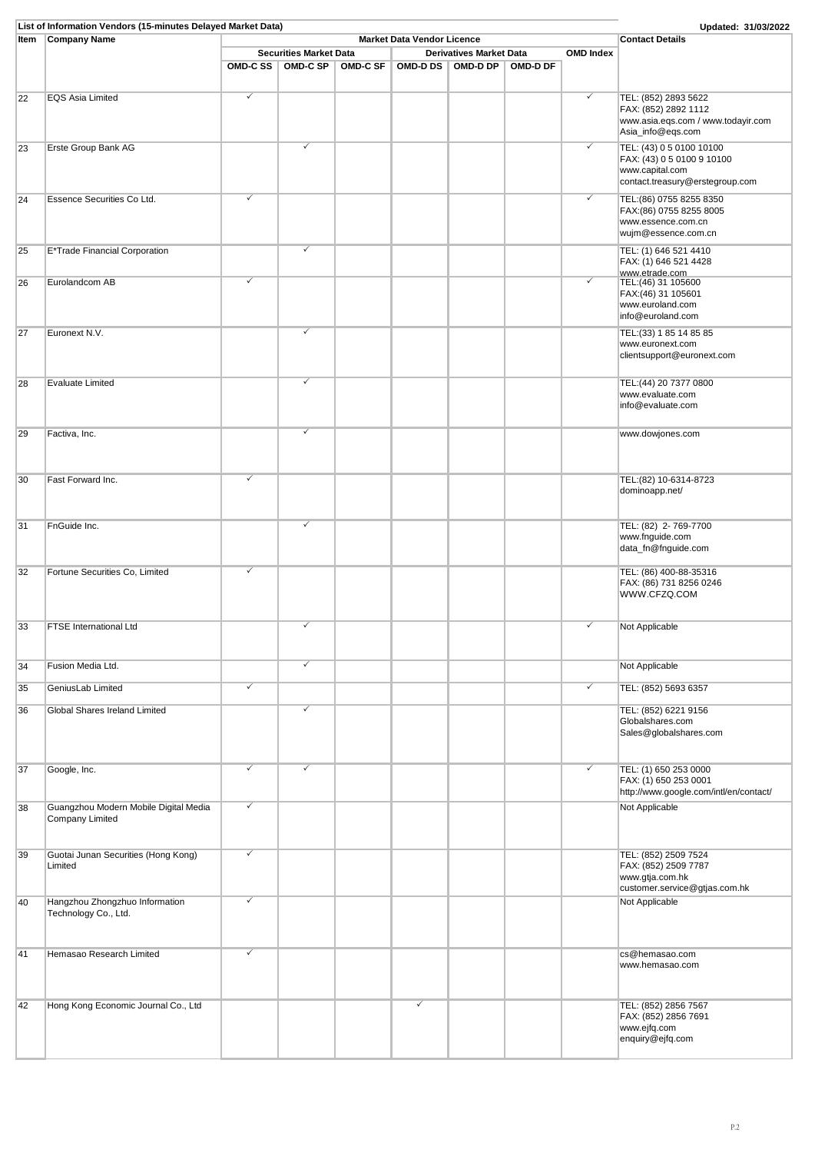|      | List of Information Vendors (15-minutes Delayed Market Data) |   |                               |                 |                                |          |                  | Updated: 31/03/2022                                     |
|------|--------------------------------------------------------------|---|-------------------------------|-----------------|--------------------------------|----------|------------------|---------------------------------------------------------|
| Item | <b>Company Name</b>                                          |   | <b>Contact Details</b>        |                 |                                |          |                  |                                                         |
|      |                                                              |   | <b>Securities Market Data</b> |                 | <b>Derivatives Market Data</b> |          | <b>OMD</b> Index |                                                         |
|      |                                                              |   | OMD-C SS   OMD-C SP           | <b>OMD-C SF</b> | OMD-D DS OMD-D DP              | OMD-D DF |                  |                                                         |
|      |                                                              |   |                               |                 |                                |          |                  |                                                         |
| 22   | <b>EQS Asia Limited</b>                                      | ✓ |                               |                 |                                |          | $\checkmark$     | TEL: (852) 2893 5622                                    |
|      |                                                              |   |                               |                 |                                |          |                  | FAX: (852) 2892 1112                                    |
|      |                                                              |   |                               |                 |                                |          |                  | www.asia.eqs.com / www.todayir.com<br>Asia_info@eqs.com |
|      |                                                              |   |                               |                 |                                |          |                  |                                                         |
| 23   | Erste Group Bank AG                                          |   | ✓                             |                 |                                |          | ✓                | TEL: (43) 0 5 0100 10100                                |
|      |                                                              |   |                               |                 |                                |          |                  | FAX: (43) 0 5 0100 9 10100<br>www.capital.com           |
|      |                                                              |   |                               |                 |                                |          |                  | contact.treasury@erstegroup.com                         |
|      |                                                              | ✓ |                               |                 |                                |          | $\checkmark$     |                                                         |
| 24   | Essence Securities Co Ltd.                                   |   |                               |                 |                                |          |                  | TEL:(86) 0755 8255 8350<br>FAX:(86) 0755 8255 8005      |
|      |                                                              |   |                               |                 |                                |          |                  | www.essence.com.cn                                      |
|      |                                                              |   |                               |                 |                                |          |                  | wujm@essence.com.cn                                     |
| 25   | E*Trade Financial Corporation                                |   | $\checkmark$                  |                 |                                |          |                  | TEL: (1) 646 521 4410                                   |
|      |                                                              |   |                               |                 |                                |          |                  | FAX: (1) 646 521 4428                                   |
|      |                                                              |   |                               |                 |                                |          |                  | www.etrade.com                                          |
| 26   | Eurolandcom AB                                               | ✓ |                               |                 |                                |          | ✓                | TEL: (46) 31 105600                                     |
|      |                                                              |   |                               |                 |                                |          |                  | FAX:(46) 31 105601                                      |
|      |                                                              |   |                               |                 |                                |          |                  | www.euroland.com<br>info@euroland.com                   |
|      |                                                              |   |                               |                 |                                |          |                  |                                                         |
| 27   | Euronext N.V.                                                |   | ✓                             |                 |                                |          |                  | TEL: (33) 1 85 14 85 85<br>www.euronext.com             |
|      |                                                              |   |                               |                 |                                |          |                  | clientsupport@euronext.com                              |
|      |                                                              |   |                               |                 |                                |          |                  |                                                         |
| 28   | Evaluate Limited                                             |   | $\checkmark$                  |                 |                                |          |                  | TEL: (44) 20 7377 0800                                  |
|      |                                                              |   |                               |                 |                                |          |                  | www.evaluate.com                                        |
|      |                                                              |   |                               |                 |                                |          |                  | info@evaluate.com                                       |
|      |                                                              |   |                               |                 |                                |          |                  |                                                         |
| 29   | Factiva, Inc.                                                |   | ✓                             |                 |                                |          |                  | www.dowjones.com                                        |
|      |                                                              |   |                               |                 |                                |          |                  |                                                         |
|      |                                                              |   |                               |                 |                                |          |                  |                                                         |
|      |                                                              |   |                               |                 |                                |          |                  |                                                         |
| 30   | Fast Forward Inc.                                            | ✓ |                               |                 |                                |          |                  | TEL:(82) 10-6314-8723                                   |
|      |                                                              |   |                               |                 |                                |          |                  | dominoapp.net/                                          |
|      |                                                              |   |                               |                 |                                |          |                  |                                                         |
| 31   | FnGuide Inc.                                                 |   | ✓                             |                 |                                |          |                  | TEL: (82) 2-769-7700                                    |
|      |                                                              |   |                               |                 |                                |          |                  | www.fnguide.com                                         |
|      |                                                              |   |                               |                 |                                |          |                  | data_fn@fnguide.com                                     |
|      |                                                              | ✓ |                               |                 |                                |          |                  |                                                         |
| 32   | Fortune Securities Co, Limited                               |   |                               |                 |                                |          |                  | TEL: (86) 400-88-35316<br>FAX: (86) 731 8256 0246       |
|      |                                                              |   |                               |                 |                                |          |                  | WWW.CFZQ.COM                                            |
|      |                                                              |   |                               |                 |                                |          |                  |                                                         |
|      |                                                              |   |                               |                 |                                |          |                  |                                                         |
| 33   | <b>FTSE International Ltd</b>                                |   | $\checkmark$                  |                 |                                |          | $\checkmark$     | Not Applicable                                          |
|      |                                                              |   |                               |                 |                                |          |                  |                                                         |
|      |                                                              |   | ✓                             |                 |                                |          |                  |                                                         |
| 34   | Fusion Media Ltd.                                            |   |                               |                 |                                |          |                  | Not Applicable                                          |
| 35   | GeniusLab Limited                                            | ✓ |                               |                 |                                |          | $\checkmark$     | TEL: (852) 5693 6357                                    |
|      |                                                              |   |                               |                 |                                |          |                  |                                                         |
| 36   | Global Shares Ireland Limited                                |   | ✓                             |                 |                                |          |                  | TEL: (852) 6221 9156                                    |
|      |                                                              |   |                               |                 |                                |          |                  | Globalshares.com<br>Sales@globalshares.com              |
|      |                                                              |   |                               |                 |                                |          |                  |                                                         |
|      |                                                              |   |                               |                 |                                |          |                  |                                                         |
| 37   | Google, Inc.                                                 | ✓ | ✓                             |                 |                                |          | $\checkmark$     | TEL: (1) 650 253 0000                                   |
|      |                                                              |   |                               |                 |                                |          |                  | FAX: (1) 650 253 0001                                   |
|      |                                                              |   |                               |                 |                                |          |                  | http://www.google.com/intl/en/contact/                  |
| 38   | Guangzhou Modern Mobile Digital Media                        | ✓ |                               |                 |                                |          |                  | Not Applicable                                          |
|      | Company Limited                                              |   |                               |                 |                                |          |                  |                                                         |
|      |                                                              |   |                               |                 |                                |          |                  |                                                         |
| 39   | Guotai Junan Securities (Hong Kong)                          | ✓ |                               |                 |                                |          |                  | TEL: (852) 2509 7524                                    |
|      | Limited                                                      |   |                               |                 |                                |          |                  | FAX: (852) 2509 7787                                    |
|      |                                                              |   |                               |                 |                                |          |                  | www.gtja.com.hk                                         |
|      |                                                              |   |                               |                 |                                |          |                  | customer.service@gtjas.com.hk                           |
| 40   | Hangzhou Zhongzhuo Information                               | √ |                               |                 |                                |          |                  | Not Applicable                                          |
|      | Technology Co., Ltd.                                         |   |                               |                 |                                |          |                  |                                                         |
|      |                                                              |   |                               |                 |                                |          |                  |                                                         |
|      |                                                              |   |                               |                 |                                |          |                  |                                                         |
| 41   | Hemasao Research Limited                                     | ✓ |                               |                 |                                |          |                  | cs@hemasao.com                                          |
|      |                                                              |   |                               |                 |                                |          |                  | www.hemasao.com                                         |
|      |                                                              |   |                               |                 |                                |          |                  |                                                         |
|      |                                                              |   |                               |                 |                                |          |                  |                                                         |
| 42   | Hong Kong Economic Journal Co., Ltd                          |   |                               |                 |                                |          |                  | TEL: (852) 2856 7567<br>FAX: (852) 2856 7691            |
|      |                                                              |   |                               |                 |                                |          |                  | www.ejfq.com                                            |
|      |                                                              |   |                               |                 |                                |          |                  | enquiry@ejfq.com                                        |
|      |                                                              |   |                               |                 |                                |          |                  |                                                         |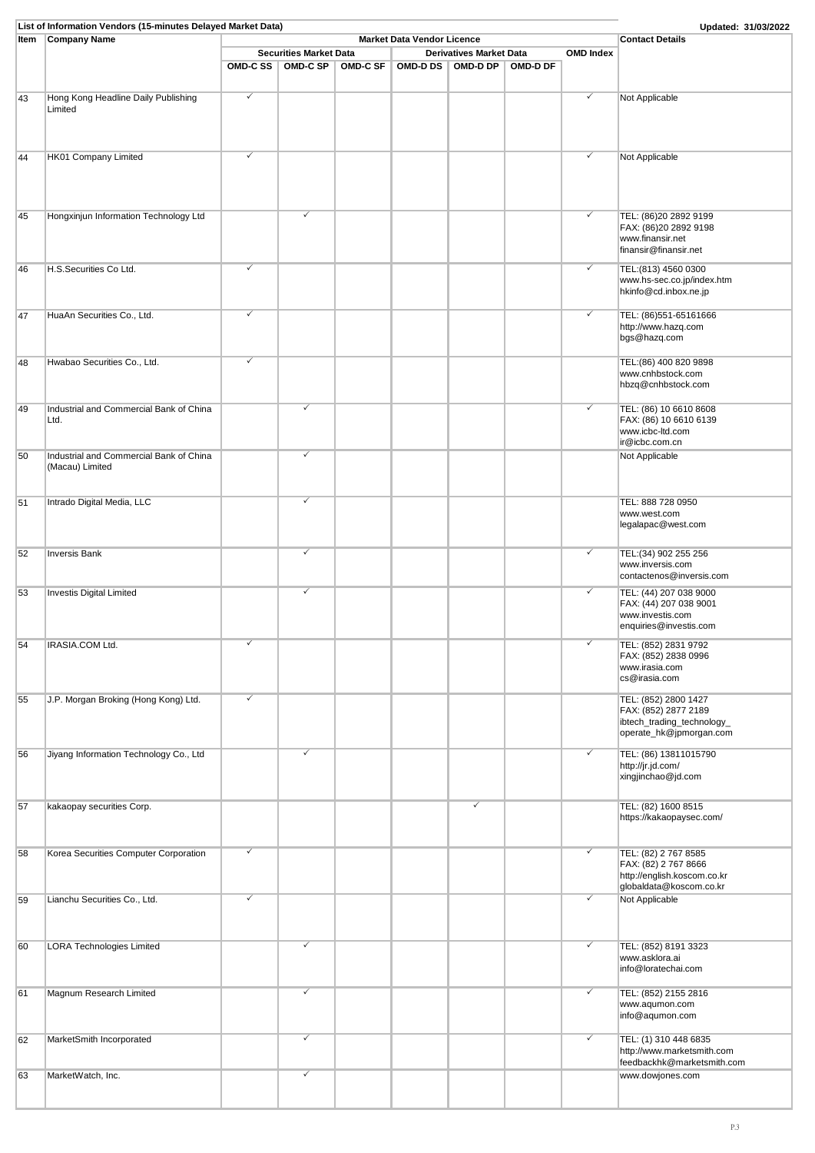| Item | <b>Company Name</b>                     |          |                               |                 | <b>Market Data Vendor Licence</b> |                                |          |                  | <b>Contact Details</b>      |
|------|-----------------------------------------|----------|-------------------------------|-----------------|-----------------------------------|--------------------------------|----------|------------------|-----------------------------|
|      |                                         |          |                               |                 |                                   |                                |          |                  |                             |
|      |                                         |          | <b>Securities Market Data</b> |                 |                                   | <b>Derivatives Market Data</b> |          |                  |                             |
|      |                                         | OMD-C SS | <b>OMD-C SP</b>               | <b>OMD-C SF</b> |                                   | OMD-D DS   OMD-D DP            | OMD-D DF | <b>OMD Index</b> |                             |
|      |                                         |          |                               |                 |                                   |                                |          |                  |                             |
|      |                                         |          |                               |                 |                                   |                                |          |                  |                             |
| 43   | Hong Kong Headline Daily Publishing     | ✓        |                               |                 |                                   |                                |          | ✓                | Not Applicable              |
|      | Limited                                 |          |                               |                 |                                   |                                |          |                  |                             |
|      |                                         |          |                               |                 |                                   |                                |          |                  |                             |
|      |                                         |          |                               |                 |                                   |                                |          |                  |                             |
|      |                                         |          |                               |                 |                                   |                                |          |                  |                             |
|      |                                         |          |                               |                 |                                   |                                |          |                  |                             |
| 44   | HK01 Company Limited                    | ✓        |                               |                 |                                   |                                |          | $\checkmark$     | Not Applicable              |
|      |                                         |          |                               |                 |                                   |                                |          |                  |                             |
|      |                                         |          |                               |                 |                                   |                                |          |                  |                             |
|      |                                         |          |                               |                 |                                   |                                |          |                  |                             |
|      |                                         |          |                               |                 |                                   |                                |          |                  |                             |
| 45   | Hongxinjun Information Technology Ltd   |          | ✓                             |                 |                                   |                                |          | $\checkmark$     | TEL: (86)20 2892 9199       |
|      |                                         |          |                               |                 |                                   |                                |          |                  | FAX: (86)20 2892 9198       |
|      |                                         |          |                               |                 |                                   |                                |          |                  | www.finansir.net            |
|      |                                         |          |                               |                 |                                   |                                |          |                  | finansir@finansir.net       |
|      |                                         |          |                               |                 |                                   |                                |          |                  |                             |
| 46   | H.S.Securities Co Ltd.                  | ✓        |                               |                 |                                   |                                |          | ✓                | TEL: (813) 4560 0300        |
|      |                                         |          |                               |                 |                                   |                                |          |                  | www.hs-sec.co.jp/index.htm  |
|      |                                         |          |                               |                 |                                   |                                |          |                  | hkinfo@cd.inbox.ne.jp       |
|      |                                         |          |                               |                 |                                   |                                |          |                  |                             |
| 47   | HuaAn Securities Co., Ltd.              | ✓        |                               |                 |                                   |                                |          | $\checkmark$     | TEL: (86)551-65161666       |
|      |                                         |          |                               |                 |                                   |                                |          |                  | http://www.hazq.com         |
|      |                                         |          |                               |                 |                                   |                                |          |                  | bgs@hazq.com                |
|      |                                         |          |                               |                 |                                   |                                |          |                  |                             |
| 48   | Hwabao Securities Co., Ltd.             | ✓        |                               |                 |                                   |                                |          |                  | TEL: (86) 400 820 9898      |
|      |                                         |          |                               |                 |                                   |                                |          |                  | www.cnhbstock.com           |
|      |                                         |          |                               |                 |                                   |                                |          |                  | hbzq@cnhbstock.com          |
|      |                                         |          |                               |                 |                                   |                                |          |                  |                             |
|      |                                         |          | ✓                             |                 |                                   |                                |          |                  |                             |
| 49   | Industrial and Commercial Bank of China |          |                               |                 |                                   |                                |          | $\checkmark$     | TEL: (86) 10 6610 8608      |
|      | Ltd.                                    |          |                               |                 |                                   |                                |          |                  | FAX: (86) 10 6610 6139      |
|      |                                         |          |                               |                 |                                   |                                |          |                  | www.icbc-ltd.com            |
|      |                                         |          |                               |                 |                                   |                                |          |                  | ir@icbc.com.cn              |
| 50   | Industrial and Commercial Bank of China |          | ✓                             |                 |                                   |                                |          |                  | Not Applicable              |
|      | (Macau) Limited                         |          |                               |                 |                                   |                                |          |                  |                             |
|      |                                         |          |                               |                 |                                   |                                |          |                  |                             |
|      |                                         |          |                               |                 |                                   |                                |          |                  |                             |
| 51   | Intrado Digital Media, LLC              |          | ✓                             |                 |                                   |                                |          |                  | TEL: 888 728 0950           |
|      |                                         |          |                               |                 |                                   |                                |          |                  | www.west.com                |
|      |                                         |          |                               |                 |                                   |                                |          |                  | legalapac@west.com          |
|      |                                         |          |                               |                 |                                   |                                |          |                  |                             |
|      |                                         |          |                               |                 |                                   |                                |          |                  |                             |
| 52   | Inversis Bank                           |          | ✓                             |                 |                                   |                                |          | $\checkmark$     | TEL: (34) 902 255 256       |
|      |                                         |          |                               |                 |                                   |                                |          |                  | www.inversis.com            |
|      |                                         |          |                               |                 |                                   |                                |          |                  | contactenos@inversis.com    |
|      |                                         |          |                               |                 |                                   |                                |          |                  |                             |
| 53   | <b>Investis Digital Limited</b>         |          | ✓                             |                 |                                   |                                |          | ✓                | TEL: (44) 207 038 9000      |
|      |                                         |          |                               |                 |                                   |                                |          |                  | FAX: (44) 207 038 9001      |
|      |                                         |          |                               |                 |                                   |                                |          |                  | www.investis.com            |
|      |                                         |          |                               |                 |                                   |                                |          |                  | enquiries@investis.com      |
| 54   | IRASIA.COM Ltd.                         | ✓        |                               |                 |                                   |                                |          | $\checkmark$     | TEL: (852) 2831 9792        |
|      |                                         |          |                               |                 |                                   |                                |          |                  | FAX: (852) 2838 0996        |
|      |                                         |          |                               |                 |                                   |                                |          |                  | www.irasia.com              |
|      |                                         |          |                               |                 |                                   |                                |          |                  | cs@irasia.com               |
|      |                                         |          |                               |                 |                                   |                                |          |                  |                             |
| 55   | J.P. Morgan Broking (Hong Kong) Ltd.    | ✓        |                               |                 |                                   |                                |          |                  | TEL: (852) 2800 1427        |
|      |                                         |          |                               |                 |                                   |                                |          |                  | FAX: (852) 2877 2189        |
|      |                                         |          |                               |                 |                                   |                                |          |                  | ibtech_trading_technology_  |
|      |                                         |          |                               |                 |                                   |                                |          |                  | operate_hk@jpmorgan.com     |
|      |                                         |          |                               |                 |                                   |                                |          |                  |                             |
|      |                                         |          | ✓                             |                 |                                   |                                |          | $\checkmark$     | TEL: (86) 13811015790       |
| 56   | Jiyang Information Technology Co., Ltd  |          |                               |                 |                                   |                                |          |                  |                             |
|      |                                         |          |                               |                 |                                   |                                |          |                  | http://jr.jd.com/           |
|      |                                         |          |                               |                 |                                   |                                |          |                  | xingjinchao@jd.com          |
|      |                                         |          |                               |                 |                                   |                                |          |                  |                             |
| 57   | kakaopay securities Corp.               |          |                               |                 |                                   | ✓                              |          |                  | TEL: (82) 1600 8515         |
|      |                                         |          |                               |                 |                                   |                                |          |                  | https://kakaopaysec.com/    |
|      |                                         |          |                               |                 |                                   |                                |          |                  |                             |
|      |                                         |          |                               |                 |                                   |                                |          |                  |                             |
|      |                                         |          |                               |                 |                                   |                                |          |                  |                             |
| 58   | Korea Securities Computer Corporation   | ✓        |                               |                 |                                   |                                |          | $\checkmark$     | TEL: (82) 2 767 8585        |
|      |                                         |          |                               |                 |                                   |                                |          |                  | FAX: (82) 2 767 8666        |
|      |                                         |          |                               |                 |                                   |                                |          |                  | http://english.koscom.co.kr |
|      |                                         |          |                               |                 |                                   |                                |          |                  | globaldata@koscom.co.kr     |
| 59   | Lianchu Securities Co., Ltd.            | ✓        |                               |                 |                                   |                                |          | ✓                | Not Applicable              |
|      |                                         |          |                               |                 |                                   |                                |          |                  |                             |
|      |                                         |          |                               |                 |                                   |                                |          |                  |                             |
|      |                                         |          |                               |                 |                                   |                                |          |                  |                             |
| 60   | <b>LORA Technologies Limited</b>        |          | ✓                             |                 |                                   |                                |          | ✓                | TEL: (852) 8191 3323        |
|      |                                         |          |                               |                 |                                   |                                |          |                  | www.asklora.ai              |
|      |                                         |          |                               |                 |                                   |                                |          |                  | info@loratechai.com         |
|      |                                         |          |                               |                 |                                   |                                |          |                  |                             |
|      |                                         |          | ✓                             |                 |                                   |                                |          |                  |                             |
| 61   | Magnum Research Limited                 |          |                               |                 |                                   |                                |          | ✓                | TEL: (852) 2155 2816        |
|      |                                         |          |                               |                 |                                   |                                |          |                  | www.aqumon.com              |
|      |                                         |          |                               |                 |                                   |                                |          |                  | info@aqumon.com             |
|      |                                         |          |                               |                 |                                   |                                |          |                  |                             |
| 62   | MarketSmith Incorporated                |          | ✓                             |                 |                                   |                                |          | $\checkmark$     | TEL: (1) 310 448 6835       |
|      |                                         |          |                               |                 |                                   |                                |          |                  | http://www.marketsmith.com  |
|      |                                         |          |                               |                 |                                   |                                |          |                  | feedbackhk@marketsmith.com  |
| 63   | MarketWatch, Inc.                       |          | ✓                             |                 |                                   |                                |          |                  | www.dowjones.com            |
|      |                                         |          |                               |                 |                                   |                                |          |                  |                             |
|      |                                         |          |                               |                 |                                   |                                |          |                  |                             |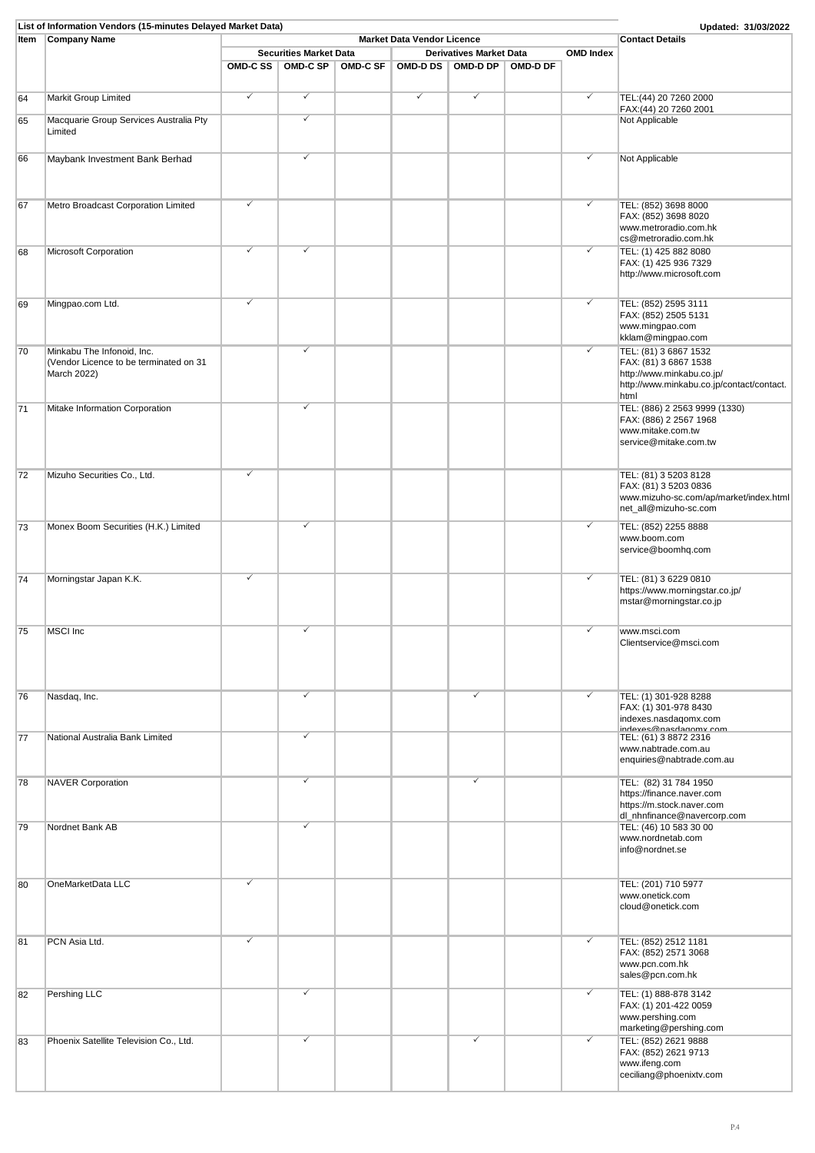|      | List of Information Vendors (15-minutes Delayed Market Data)                        |          |                               |          |              |                                |          |                  | Updated: 31/03/2022                                                                                                              |
|------|-------------------------------------------------------------------------------------|----------|-------------------------------|----------|--------------|--------------------------------|----------|------------------|----------------------------------------------------------------------------------------------------------------------------------|
| Item | <b>Company Name</b>                                                                 |          | <b>Contact Details</b>        |          |              |                                |          |                  |                                                                                                                                  |
|      |                                                                                     |          | <b>Securities Market Data</b> |          |              | <b>Derivatives Market Data</b> |          | <b>OMD Index</b> |                                                                                                                                  |
|      |                                                                                     | OMD-C SS | <b>OMD-C SP</b>               | OMD-C SF |              | OMD-D DS   OMD-D DP            | OMD-D DF |                  |                                                                                                                                  |
| 64   | Markit Group Limited                                                                | ✓        | $\checkmark$                  |          | $\checkmark$ | $\checkmark$                   |          | ✓                | TEL: (44) 20 7260 2000<br>FAX:(44) 20 7260 2001                                                                                  |
| 65   | Macquarie Group Services Australia Pty<br>Limited                                   |          | ✓                             |          |              |                                |          |                  | Not Applicable                                                                                                                   |
| 66   | Maybank Investment Bank Berhad                                                      |          | ✓                             |          |              |                                |          | ✓                | Not Applicable                                                                                                                   |
| 67   | Metro Broadcast Corporation Limited                                                 | ✓        |                               |          |              |                                |          | ✓                | TEL: (852) 3698 8000<br>FAX: (852) 3698 8020<br>www.metroradio.com.hk<br>cs@metroradio.com.hk                                    |
| 68   | Microsoft Corporation                                                               | ✓        | ✓                             |          |              |                                |          | ✓                | TEL: (1) 425 882 8080<br>FAX: (1) 425 936 7329<br>http://www.microsoft.com                                                       |
| 69   | Mingpao.com Ltd.                                                                    | ✓        |                               |          |              |                                |          | ✓                | TEL: (852) 2595 3111<br>FAX: (852) 2505 5131<br>www.mingpao.com<br>kklam@mingpao.com                                             |
| 70   | Minkabu The Infonoid, Inc.<br>(Vendor Licence to be terminated on 31<br>March 2022) |          | ✓                             |          |              |                                |          | ✓                | TEL: (81) 3 6867 1532<br>FAX: (81) 3 6867 1538<br>http://www.minkabu.co.jp/<br>http://www.minkabu.co.jp/contact/contact.<br>html |
| 71   | Mitake Information Corporation                                                      |          | ✓                             |          |              |                                |          |                  | TEL: (886) 2 2563 9999 (1330)<br>FAX: (886) 2 2567 1968<br>www.mitake.com.tw<br>service@mitake.com.tw                            |
| 72   | Mizuho Securities Co., Ltd.                                                         | ✓        |                               |          |              |                                |          |                  | TEL: (81) 3 5203 8128<br>FAX: (81) 3 5203 0836<br>www.mizuho-sc.com/ap/market/index.html<br>net_all@mizuho-sc.com                |
| 73   | Monex Boom Securities (H.K.) Limited                                                |          | ✓                             |          |              |                                |          | ✓                | TEL: (852) 2255 8888<br>www.boom.com<br>service@boomhq.com                                                                       |
| 74   | Morningstar Japan K.K.                                                              | √        |                               |          |              |                                |          | ✓                | TEL: (81) 3 6229 0810<br>https://www.morningstar.co.jp/<br>mstar@morningstar.co.jp                                               |
| 75   | MSCI Inc                                                                            |          | ✓                             |          |              |                                |          | ✓                | www.msci.com<br>Clientservice@msci.com                                                                                           |
| 76   | Nasdaq, Inc.                                                                        |          | $\checkmark$                  |          |              | $\checkmark$                   |          | ✓                | TEL: (1) 301-928 8288<br>FAX: (1) 301-978 8430<br>indexes.nasdaqomx.com                                                          |
| 77   | National Australia Bank Limited                                                     |          | ✓                             |          |              |                                |          |                  | $intext{m}$ macdonomy compared in $TEL: (61)$ 3 8872 2316<br>www.nabtrade.com.au<br>enquiries@nabtrade.com.au                    |
| 78   | <b>NAVER Corporation</b>                                                            |          | ✓                             |          |              | $\checkmark$                   |          |                  | TEL: (82) 31 784 1950<br>https://finance.naver.com<br>https://m.stock.naver.com<br>dl_nhnfinance@navercorp.com                   |
| 79   | Nordnet Bank AB                                                                     |          | ✓                             |          |              |                                |          |                  | TEL: (46) 10 583 30 00<br>www.nordnetab.com<br>info@nordnet.se                                                                   |
| 80   | OneMarketData LLC                                                                   | ✓        |                               |          |              |                                |          |                  | TEL: (201) 710 5977<br>www.onetick.com<br>cloud@onetick.com                                                                      |
| 81   | PCN Asia Ltd.                                                                       | ✓        |                               |          |              |                                |          | ✓                | TEL: (852) 2512 1181<br>FAX: (852) 2571 3068<br>www.pcn.com.hk<br>sales@pcn.com.hk                                               |
| 82   | Pershing LLC                                                                        |          | ✓                             |          |              |                                |          | ✓                | TEL: (1) 888-878 3142<br>FAX: (1) 201-422 0059<br>www.pershing.com<br>marketing@pershing.com                                     |
| 83   | Phoenix Satellite Television Co., Ltd.                                              |          | ✓                             |          |              | ✓                              |          | ✓                | TEL: (852) 2621 9888<br>FAX: (852) 2621 9713<br>www.ifeng.com<br>ceciliang@phoenixtv.com                                         |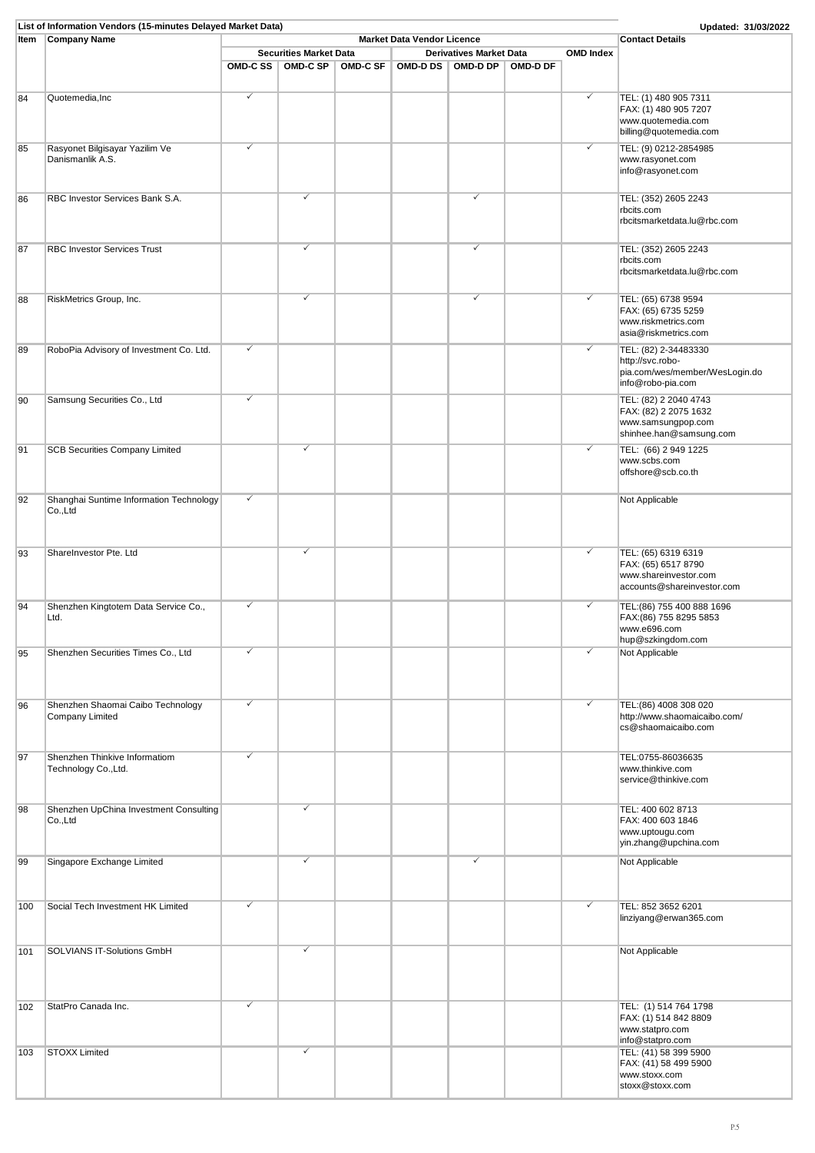|      | List of Information Vendors (15-minutes Delayed Market Data) |   |                               |                 |                                   |                                |          |                  | Updated: 31/03/2022                            |
|------|--------------------------------------------------------------|---|-------------------------------|-----------------|-----------------------------------|--------------------------------|----------|------------------|------------------------------------------------|
| Item | <b>Company Name</b>                                          |   |                               |                 | <b>Market Data Vendor Licence</b> |                                |          |                  | <b>Contact Details</b>                         |
|      |                                                              |   | <b>Securities Market Data</b> |                 |                                   | <b>Derivatives Market Data</b> |          | <b>OMD Index</b> |                                                |
|      |                                                              |   | OMD-CSS OMD-CSP               | <b>OMD-C SF</b> |                                   | OMD-D DS OMD-D DP              | OMD-D DF |                  |                                                |
|      |                                                              |   |                               |                 |                                   |                                |          |                  |                                                |
|      |                                                              |   |                               |                 |                                   |                                |          |                  |                                                |
| 84   | Quotemedia, Inc                                              | ✓ |                               |                 |                                   |                                |          | ✓                | TEL: (1) 480 905 7311                          |
|      |                                                              |   |                               |                 |                                   |                                |          |                  | FAX: (1) 480 905 7207                          |
|      |                                                              |   |                               |                 |                                   |                                |          |                  | www.quotemedia.com                             |
|      |                                                              |   |                               |                 |                                   |                                |          |                  | billing@quotemedia.com                         |
| 85   | Rasyonet Bilgisayar Yazilim Ve                               | ✓ |                               |                 |                                   |                                |          | $\checkmark$     | TEL: (9) 0212-2854985                          |
|      | Danismanlik A.S.                                             |   |                               |                 |                                   |                                |          |                  | www.rasyonet.com                               |
|      |                                                              |   |                               |                 |                                   |                                |          |                  | info@rasyonet.com                              |
|      |                                                              |   |                               |                 |                                   |                                |          |                  |                                                |
|      |                                                              |   | ✓                             |                 |                                   |                                |          |                  |                                                |
| 86   | RBC Investor Services Bank S.A.                              |   |                               |                 |                                   | ✓                              |          |                  | TEL: (352) 2605 2243                           |
|      |                                                              |   |                               |                 |                                   |                                |          |                  | rbcits.com                                     |
|      |                                                              |   |                               |                 |                                   |                                |          |                  | rbcitsmarketdata.lu@rbc.com                    |
|      |                                                              |   |                               |                 |                                   |                                |          |                  |                                                |
| 87   | <b>RBC Investor Services Trust</b>                           |   | ✓                             |                 |                                   | ✓                              |          |                  | TEL: (352) 2605 2243                           |
|      |                                                              |   |                               |                 |                                   |                                |          |                  | rbcits.com                                     |
|      |                                                              |   |                               |                 |                                   |                                |          |                  | rbcitsmarketdata.lu@rbc.com                    |
|      |                                                              |   |                               |                 |                                   |                                |          |                  |                                                |
|      | RiskMetrics Group, Inc.                                      |   | ✓                             |                 |                                   | ✓                              |          | ✓                | TEL: (65) 6738 9594                            |
| 88   |                                                              |   |                               |                 |                                   |                                |          |                  | FAX: (65) 6735 5259                            |
|      |                                                              |   |                               |                 |                                   |                                |          |                  | www.riskmetrics.com                            |
|      |                                                              |   |                               |                 |                                   |                                |          |                  |                                                |
|      |                                                              |   |                               |                 |                                   |                                |          |                  | asia@riskmetrics.com                           |
| 89   | RoboPia Advisory of Investment Co. Ltd.                      | ✓ |                               |                 |                                   |                                |          | $\checkmark$     | TEL: (82) 2-34483330                           |
|      |                                                              |   |                               |                 |                                   |                                |          |                  | http://svc.robo-                               |
|      |                                                              |   |                               |                 |                                   |                                |          |                  | pia.com/wes/member/WesLogin.do                 |
|      |                                                              |   |                               |                 |                                   |                                |          |                  | info@robo-pia.com                              |
| 90   | Samsung Securities Co., Ltd                                  | ✓ |                               |                 |                                   |                                |          |                  | TEL: (82) 2 2040 4743                          |
|      |                                                              |   |                               |                 |                                   |                                |          |                  | FAX: (82) 2 2075 1632                          |
|      |                                                              |   |                               |                 |                                   |                                |          |                  | www.samsungpop.com                             |
|      |                                                              |   |                               |                 |                                   |                                |          |                  | shinhee.han@samsung.com                        |
|      |                                                              |   |                               |                 |                                   |                                |          |                  |                                                |
| 91   | <b>SCB Securities Company Limited</b>                        |   | ✓                             |                 |                                   |                                |          | $\checkmark$     | TEL: (66) 2 949 1225                           |
|      |                                                              |   |                               |                 |                                   |                                |          |                  | www.scbs.com                                   |
|      |                                                              |   |                               |                 |                                   |                                |          |                  | offshore@scb.co.th                             |
|      |                                                              |   |                               |                 |                                   |                                |          |                  |                                                |
| 92   | Shanghai Suntime Information Technology                      | ✓ |                               |                 |                                   |                                |          |                  | Not Applicable                                 |
|      | Co.,Ltd                                                      |   |                               |                 |                                   |                                |          |                  |                                                |
|      |                                                              |   |                               |                 |                                   |                                |          |                  |                                                |
|      |                                                              |   |                               |                 |                                   |                                |          |                  |                                                |
|      |                                                              |   |                               |                 |                                   |                                |          |                  |                                                |
| 93   | ShareInvestor Pte. Ltd                                       |   | ✓                             |                 |                                   |                                |          | $\checkmark$     | TEL: (65) 6319 6319                            |
|      |                                                              |   |                               |                 |                                   |                                |          |                  | FAX: (65) 6517 8790                            |
|      |                                                              |   |                               |                 |                                   |                                |          |                  | www.shareinvestor.com                          |
|      |                                                              |   |                               |                 |                                   |                                |          |                  | accounts@shareinvestor.com                     |
|      |                                                              | ✓ |                               |                 |                                   |                                |          | $\checkmark$     |                                                |
| 94   | Shenzhen Kingtotem Data Service Co.,<br>Ltd.                 |   |                               |                 |                                   |                                |          |                  | TEL: (86) 755 400 888 1696                     |
|      |                                                              |   |                               |                 |                                   |                                |          |                  | FAX:(86) 755 8295 5853<br>www.e696.com         |
|      |                                                              |   |                               |                 |                                   |                                |          |                  | hup@szkingdom.com                              |
|      |                                                              |   |                               |                 |                                   |                                |          |                  |                                                |
| 95   | Shenzhen Securities Times Co., Ltd                           |   |                               |                 |                                   |                                |          |                  | Not Applicable                                 |
|      |                                                              |   |                               |                 |                                   |                                |          |                  |                                                |
|      |                                                              |   |                               |                 |                                   |                                |          |                  |                                                |
|      |                                                              |   |                               |                 |                                   |                                |          |                  |                                                |
| 96   | Shenzhen Shaomai Caibo Technology                            | ✓ |                               |                 |                                   |                                |          | ✓                | TEL: (86) 4008 308 020                         |
|      | Company Limited                                              |   |                               |                 |                                   |                                |          |                  | http://www.shaomaicaibo.com/                   |
|      |                                                              |   |                               |                 |                                   |                                |          |                  | cs@shaomaicaibo.com                            |
|      |                                                              |   |                               |                 |                                   |                                |          |                  |                                                |
|      |                                                              |   |                               |                 |                                   |                                |          |                  |                                                |
| 97   | Shenzhen Thinkive Informatiom                                | ✓ |                               |                 |                                   |                                |          |                  | TEL:0755-86036635                              |
|      | Technology Co., Ltd.                                         |   |                               |                 |                                   |                                |          |                  | www.thinkive.com                               |
|      |                                                              |   |                               |                 |                                   |                                |          |                  | service@thinkive.com                           |
|      |                                                              |   |                               |                 |                                   |                                |          |                  |                                                |
| 98   | Shenzhen UpChina Investment Consulting                       |   | ✓                             |                 |                                   |                                |          |                  | TEL: 400 602 8713                              |
|      | Co.,Ltd                                                      |   |                               |                 |                                   |                                |          |                  | FAX: 400 603 1846                              |
|      |                                                              |   |                               |                 |                                   |                                |          |                  | www.uptougu.com                                |
|      |                                                              |   |                               |                 |                                   |                                |          |                  | yin.zhang@upchina.com                          |
|      |                                                              |   |                               |                 |                                   |                                |          |                  |                                                |
| 99   | Singapore Exchange Limited                                   |   | ✓                             |                 |                                   | ✓                              |          |                  | Not Applicable                                 |
|      |                                                              |   |                               |                 |                                   |                                |          |                  |                                                |
|      |                                                              |   |                               |                 |                                   |                                |          |                  |                                                |
|      |                                                              | ✓ |                               |                 |                                   |                                |          | $\checkmark$     |                                                |
| 100  | Social Tech Investment HK Limited                            |   |                               |                 |                                   |                                |          |                  | TEL: 852 3652 6201                             |
|      |                                                              |   |                               |                 |                                   |                                |          |                  | linziyang@erwan365.com                         |
|      |                                                              |   |                               |                 |                                   |                                |          |                  |                                                |
|      |                                                              |   | ✓                             |                 |                                   |                                |          |                  |                                                |
| 101  | SOLVIANS IT-Solutions GmbH                                   |   |                               |                 |                                   |                                |          |                  | Not Applicable                                 |
|      |                                                              |   |                               |                 |                                   |                                |          |                  |                                                |
|      |                                                              |   |                               |                 |                                   |                                |          |                  |                                                |
|      |                                                              |   |                               |                 |                                   |                                |          |                  |                                                |
|      |                                                              | ✓ |                               |                 |                                   |                                |          |                  |                                                |
| 102  | StatPro Canada Inc.                                          |   |                               |                 |                                   |                                |          |                  | TEL: (1) 514 764 1798<br>FAX: (1) 514 842 8809 |
|      |                                                              |   |                               |                 |                                   |                                |          |                  |                                                |
|      |                                                              |   |                               |                 |                                   |                                |          |                  | www.statpro.com                                |
|      |                                                              |   | ✓                             |                 |                                   |                                |          |                  | info@statpro.com                               |
| 103  | <b>STOXX Limited</b>                                         |   |                               |                 |                                   |                                |          |                  | TEL: (41) 58 399 5900                          |
|      |                                                              |   |                               |                 |                                   |                                |          |                  | FAX: (41) 58 499 5900                          |
|      |                                                              |   |                               |                 |                                   |                                |          |                  | www.stoxx.com                                  |
|      |                                                              |   |                               |                 |                                   |                                |          |                  | stoxx@stoxx.com                                |